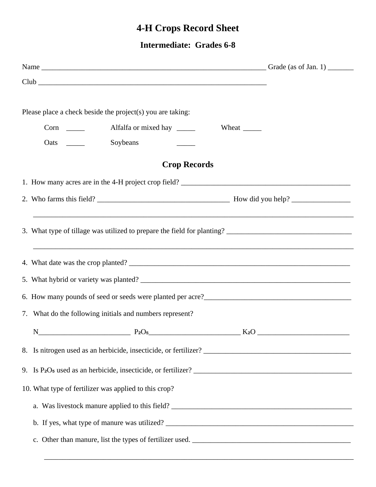## **4-H Crops Record Sheet**

**Intermediate: Grades 6-8** 

| Club                                                                                                                                                                                                                         |  |
|------------------------------------------------------------------------------------------------------------------------------------------------------------------------------------------------------------------------------|--|
| Please place a check beside the project(s) you are taking:                                                                                                                                                                   |  |
|                                                                                                                                                                                                                              |  |
|                                                                                                                                                                                                                              |  |
|                                                                                                                                                                                                                              |  |
| <b>Crop Records</b>                                                                                                                                                                                                          |  |
|                                                                                                                                                                                                                              |  |
|                                                                                                                                                                                                                              |  |
| ,我们也不能在这里的时候,我们也不能在这里的时候,我们也不能会在这里的时候,我们也不能会在这里的时候,我们也不能会在这里的时候,我们也不能会在这里的时候,我们也不                                                                                                                                            |  |
|                                                                                                                                                                                                                              |  |
|                                                                                                                                                                                                                              |  |
| 6. How many pounds of seed or seeds were planted per acre?<br><u>Letting</u> across the many pounds of seed or seeds were planted per acre?<br><u>Letting across the many pounds</u> of seed or seeds were planted per acre? |  |
| 7. What do the following initials and numbers represent?                                                                                                                                                                     |  |
| $P_2O_5$<br>N                                                                                                                                                                                                                |  |
|                                                                                                                                                                                                                              |  |
|                                                                                                                                                                                                                              |  |
| 10. What type of fertilizer was applied to this crop?                                                                                                                                                                        |  |
|                                                                                                                                                                                                                              |  |
|                                                                                                                                                                                                                              |  |
|                                                                                                                                                                                                                              |  |

\_\_\_\_\_\_\_\_\_\_\_\_\_\_\_\_\_\_\_\_\_\_\_\_\_\_\_\_\_\_\_\_\_\_\_\_\_\_\_\_\_\_\_\_\_\_\_\_\_\_\_\_\_\_\_\_\_\_\_\_\_\_\_\_\_\_\_\_\_\_\_\_\_\_\_\_\_\_\_\_\_\_\_\_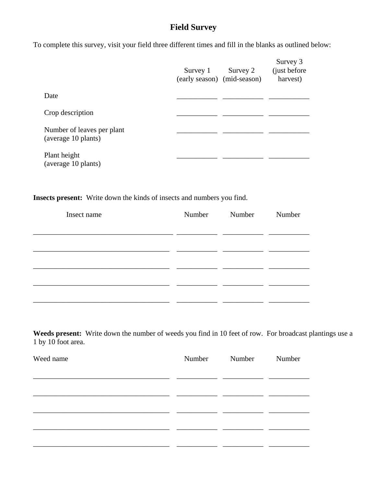## **Field Survey**

To complete this survey, visit your field three different times and fill in the blanks as outlined below:

|                                                   | Survey 1<br>(early season) (mid-season) | Survey 2 | Survey 3<br>(just before)<br>harvest) |  |
|---------------------------------------------------|-----------------------------------------|----------|---------------------------------------|--|
| Date                                              |                                         |          |                                       |  |
| Crop description                                  |                                         |          |                                       |  |
| Number of leaves per plant<br>(average 10 plants) |                                         |          |                                       |  |
| Plant height<br>(average 10 plants)               |                                         |          |                                       |  |

## **Insects present:** Write down the kinds of insects and numbers you find.

| Insect name | Number Number | Number |  |
|-------------|---------------|--------|--|
|             |               |        |  |
|             |               |        |  |
|             |               |        |  |
|             |               |        |  |
|             |               |        |  |
|             |               |        |  |
|             |               |        |  |

**Weeds present:** Write down the number of weeds you find in 10 feet of row. For broadcast plantings use a 1 by 10 foot area.

| Weed name | Number | Number | Number |  |
|-----------|--------|--------|--------|--|
|           |        |        |        |  |
|           |        |        |        |  |
|           |        |        |        |  |
|           |        |        |        |  |
|           |        |        |        |  |
|           |        |        |        |  |